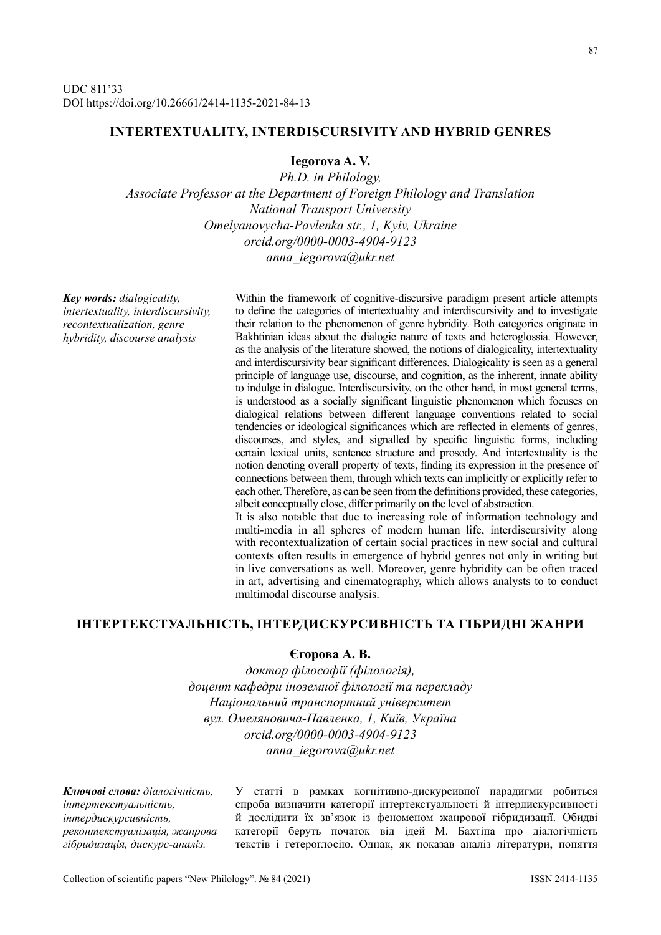# **INTERTEXTUALITY, INTERDISCURSIVITY AND HYBRID GENRES**

**Iegorova A. V.**

*Ph.D. in Philology, Associate Professor at the Department of Foreign Philology and Translation National Transport University Omelyanovycha-Pavlenka str., 1, Kyiv, Ukraine orcid.org/0000-0003-4904-9123 anna\_iegorova@ukr.net*

*Key words: dialogicality, intertextuality, interdiscursivity, recontextualization, genre hybridity, discourse analysis*

Within the framework of cognitive-discursive paradigm present article attempts to define the categories of intertextuality and interdiscursivity and to investigate their relation to the phenomenon of genre hybridity. Both categories originate in Bakhtinian ideas about the dialogic nature of texts and heteroglossia. However, as the analysis of the literature showed, the notions of dialogicality, intertextuality and interdiscursivity bear significant differences. Dialogicality is seen as a general principle of language use, discourse, and cognition, as the inherent, innate ability to indulge in dialogue. Interdiscursivity, on the other hand, in most general terms, is understood as a socially significant linguistic phenomenon which focuses on dialogical relations between different language conventions related to social tendencies or ideological significances which are reflected in elements of genres, discourses, and styles, and signalled by specific linguistic forms, including certain lexical units, sentence structure and prosody. And intertextuality is the notion denoting overall property of texts, finding its expression in the presence of connections between them, through which texts can implicitly or explicitly refer to each other. Therefore, as can be seen from the definitions provided, these categories, albeit conceptually close, differ primarily on the level of abstraction. It is also notable that due to increasing role of information technology and

multi-media in all spheres of modern human life, interdiscursivity along with recontextualization of certain social practices in new social and cultural contexts often results in emergence of hybrid genres not only in writing but in live conversations as well. Moreover, genre hybridity can be often traced in art, advertising and cinematography, which allows analysts to to conduct multimodal discourse analysis.

# **ІНТЕРТЕКСТУАЛЬНІСТЬ, ІНТЕРДИСКУРСИВНІСТЬ ТА ГІБРИДНІ ЖАНРИ**

## **Єгорова А. В.**

*доктор філософії (філологія), доцент кафедри іноземної філології та перекладу Національний транспортний університет вул. Омеляновича-Павленка, 1, Київ, Україна orcid.org/0000-0003-4904-9123 anna\_iegorova@ukr.net*

*Ключові слова: діалогічність, інтертекстуальність, інтердискурсивність, реконтекстуалізація, жанрова гібридизація, дискурс-аналіз.*

У статті в рамках когнітивно-дискурсивної парадигми робиться спроба визначити категорії інтертекстуальності й інтердискурсивності й дослідити їх зв'язок із феноменом жанрової гібридизації. Обидві категорії беруть початок від ідей М. Бахтіна про діалогічність текстів і гетероглосію. Однак, як показав аналіз літератури, поняття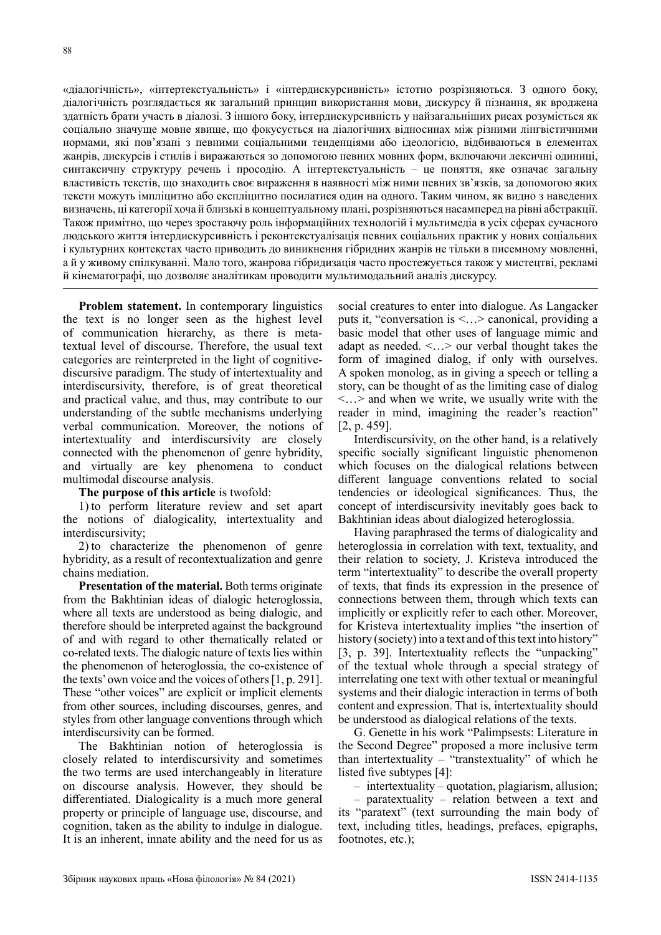«діалогічність», «інтертекстуальність» і «інтердискурсивність» істотно розрізняються. З одного боку, діалогічність розглядається як загальний принцип використання мови, дискурсу й пізнання, як вроджена здатність брати участь в діалозі. З іншого боку, інтердискурсивність у найзагальніших рисах розуміється як соціально значуще мовне явище, що фокусується на діалогічних відносинах між різними лінгвістичними нормами, які пов'язані з певними соціальними тенденціями або ідеологією, відбиваються в елементах жанрів, дискурсів і стилів і виражаються зо допомогою певних мовних форм, включаючи лексичні одиниці, синтаксичну структуру речень і просодію. А інтертекстуальність – це поняття, яке означає загальну властивість текстів, що знаходить своє вираження в наявності між ними певних зв'язків, за допомогою яких тексти можуть імпліцитно або експліцитно посилатися один на одного. Таким чином, як видно з наведених визначень, ці категорії хоча й близькі в концептуальному плані, розрізняються насамперед на рівні абстракції. Також примітно, що через зростаючу роль інформаційних технологій і мультимедіа в усіх сферах сучасного людського життя інтердискурсивність і реконтекстуалізація певних соціальних практик у нових соціальних і культурних контекстах часто приводить до виникнення гібридних жанрів не тільки в писемному мовленні, а й у живому спілкуванні. Мало того, жанрова гібридизація часто простежується також у мистецтві, рекламі й кінематографі, що дозволяє аналітикам проводити мультимодальний аналіз дискурсу.

**Problem statement.** In contemporary linguistics the text is no longer seen as the highest level of communication hierarchy, as there is metatextual level of discourse. Therefore, the usual text categories are reinterpreted in the light of cognitivediscursive paradigm. The study of intertextuality and interdiscursivity, therefore, is of great theoretical and practical value, and thus, may contribute to our understanding of the subtle mechanisms underlying verbal communication. Moreover, the notions of intertextuality and interdiscursivity are closely connected with the phenomenon of genre hybridity, and virtually are key phenomena to conduct multimodal discourse analysis.

#### **The purpose of this article** is twofold:

1) to perform literature review and set apart the notions of dialogicality, intertextuality and interdiscursivity;

2) to characterize the phenomenon of genre hybridity, as a result of recontextualization and genre chains mediation.

**Presentation of the material.** Both terms originate from the Bakhtinian ideas of dialogic heteroglossia, where all texts are understood as being dialogic, and therefore should be interpreted against the background of and with regard to other thematically related or co-related texts. The dialogic nature of texts lies within the phenomenon of heteroglossia, the co-existence of the texts' own voice and the voices of others [1, p. 291]. These "other voices" are explicit or implicit elements from other sources, including discourses, genres, and styles from other language conventions through which interdiscursivity can be formed.

The Bakhtinian notion of heteroglossia is closely related to interdiscursivity and sometimes the two terms are used interchangeably in literature on discourse analysis. However, they should be differentiated. Dialogicality is a much more general property or principle of language use, discourse, and cognition, taken as the ability to indulge in dialogue. It is an inherent, innate ability and the need for us as social creatures to enter into dialogue. As Langacker puts it, "conversation is <…> canonical, providing a basic model that other uses of language mimic and adapt as needed. <…> our verbal thought takes the form of imagined dialog, if only with ourselves. A spoken monolog, as in giving a speech or telling a story, can be thought of as the limiting case of dialog <…> and when we write, we usually write with the reader in mind, imagining the reader's reaction" [2, p. 459].

Interdiscursivity, on the other hand, is a relatively specific socially significant linguistic phenomenon which focuses on the dialogical relations between different language conventions related to social tendencies or ideological significances. Thus, the concept of interdiscursivity inevitably goes back to Bakhtinian ideas about dialogized heteroglossia.

Having paraphrased the terms of dialogicality and heteroglossia in correlation with text, textuality, and their relation to society, J. Kristeva introduced the term "intertextuality" to describe the overall property of texts, that finds its expression in the presence of connections between them, through which texts can implicitly or explicitly refer to each other. Moreover, for Kristeva intertextuality implies "the insertion of history (society) into a text and of this text into history" [3, p. 39]. Intertextuality reflects the "unpacking" of the textual whole through a special strategy of interrelating one text with other textual or meaningful systems and their dialogic interaction in terms of both content and expression. That is, intertextuality should be understood as dialogical relations of the texts.

G. Genette in his work "Palimpsests: Literature in the Second Degree" proposed a more inclusive term than intertextuality – "transtextuality" of which he listed five subtypes [4]:

– intertextuality – quotation, plagiarism, allusion;

– paratextuality – relation between a text and its "paratext" (text surrounding the main body of text, including titles, headings, prefaces, epigraphs, footnotes, etc.);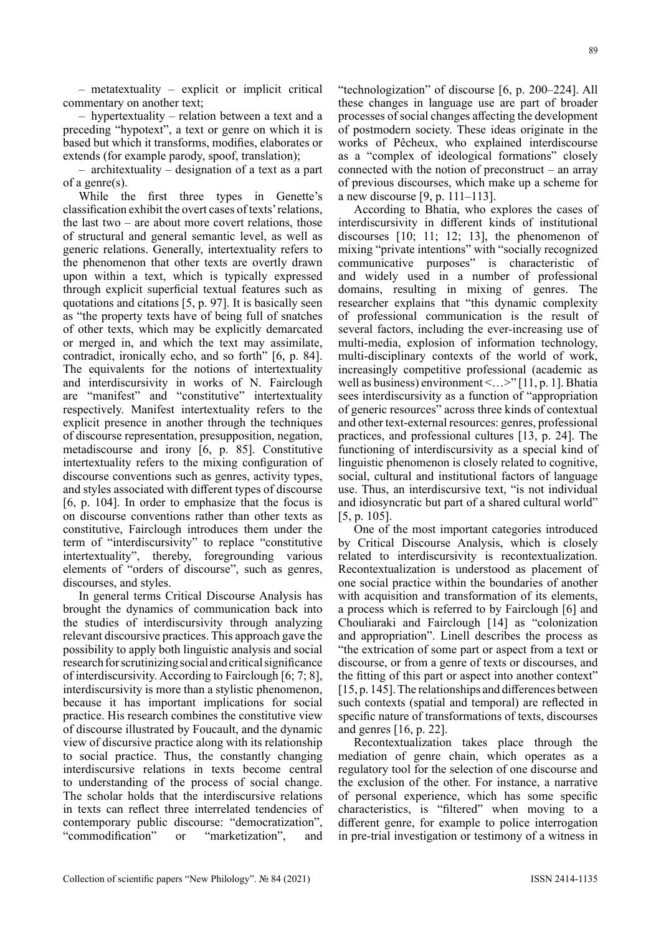– metatextuality – explicit or implicit critical commentary on another text;

– hypertextuality – relation between a text and a preceding "hypotext", a text or genre on which it is based but which it transforms, modifies, elaborates or extends (for example parody, spoof, translation);

– architextuality – designation of a text as a part of a genre(s).

While the first three types in Genette's classification exhibit the overt cases of texts' relations, the last two – are about more covert relations, those of structural and general semantic level, as well as generic relations. Generally, intertextuality refers to the phenomenon that other texts are overtly drawn upon within a text, which is typically expressed through explicit superficial textual features such as quotations and citations [5, p. 97]. It is basically seen as "the property texts have of being full of snatches of other texts, which may be explicitly demarcated or merged in, and which the text may assimilate, contradict, ironically echo, and so forth" [6, p. 84]. The equivalents for the notions of intertextuality and interdiscursivity in works of N. Fairclough are "manifest" and "constitutive" intertextuality respectively. Manifest intertextuality refers to the explicit presence in another through the techniques of discourse representation, presupposition, negation, metadiscourse and irony [6, p. 85]. Constitutive intertextuality refers to the mixing configuration of discourse conventions such as genres, activity types, and styles associated with different types of discourse [6, p. 104]. In order to emphasize that the focus is on discourse conventions rather than other texts as constitutive, Fairclough introduces them under the term of "interdiscursivity" to replace "constitutive intertextuality", thereby, foregrounding various elements of "orders of discourse", such as genres, discourses, and styles.

In general terms Critical Discourse Analysis has brought the dynamics of communication back into the studies of interdiscursivity through analyzing relevant discoursive practices. This approach gave the possibility to apply both linguistic analysis and social research for scrutinizing social and critical significance of interdiscursivity. According to Fairclough [6; 7; 8], interdiscursivity is more than a stylistic phenomenon, because it has important implications for social practice. His research combines the constitutive view of discourse illustrated by Foucault, and the dynamic view of discursive practice along with its relationship to social practice. Thus, the constantly changing interdiscursive relations in texts become central to understanding of the process of social change. The scholar holds that the interdiscursive relations in texts can reflect three interrelated tendencies of contemporary public discourse: "democratization", "commodification" or "marketization", and "technologization" of discourse [6, p. 200–224]. All these changes in language use are part of broader processes of social changes affecting the development of postmodern society. These ideas originate in the works of Pêcheux, who explained interdiscourse as a "complex of ideological formations" closely connected with the notion of preconstruct – an array of previous discourses, which make up a scheme for a new discourse [9, p. 111–113].

According to Bhatia, who explores the cases of interdiscursivity in different kinds of institutional discourses [10; 11; 12; 13], the phenomenon of mixing "private intentions" with "socially recognized communicative purposes" is characteristic of and widely used in a number of professional domains, resulting in mixing of genres. The researcher explains that "this dynamic complexity of professional communication is the result of several factors, including the ever-increasing use of multi-media, explosion of information technology, multi-disciplinary contexts of the world of work, increasingly competitive professional (academic as well as business) environment <…>" [11, p. 1]. Bhatia sees interdiscursivity as a function of "appropriation of generic resources" across three kinds of contextual and other text-external resources: genres, professional practices, and professional cultures [13, p. 24]. The functioning of interdiscursivity as a special kind of linguistic phenomenon is closely related to cognitive, social, cultural and institutional factors of language use. Thus, an interdiscursive text, "is not individual and idiosyncratic but part of a shared cultural world" [5, p. 105].

One of the most important categories introduced by Critical Discourse Analysis, which is closely related to interdiscursivity is recontextualization. Recontextualization is understood as placement of one social practice within the boundaries of another with acquisition and transformation of its elements, a process which is referred to by Fairclough [6] and Chouliaraki and Fairclough [14] as "colonization and appropriation". Linell describes the process as "the extrication of some part or aspect from a text or discourse, or from a genre of texts or discourses, and the fitting of this part or aspect into another context" [15, p. 145]. The relationships and differences between such contexts (spatial and temporal) are reflected in specific nature of transformations of texts, discourses and genres [16, p. 22].

Recontextualization takes place through the mediation of genre chain, which operates as a regulatory tool for the selection of one discourse and the exclusion of the other. For instance, a narrative of personal experience, which has some specific characteristics, is "filtered" when moving to a different genre, for example to police interrogation in pre-trial investigation or testimony of a witness in